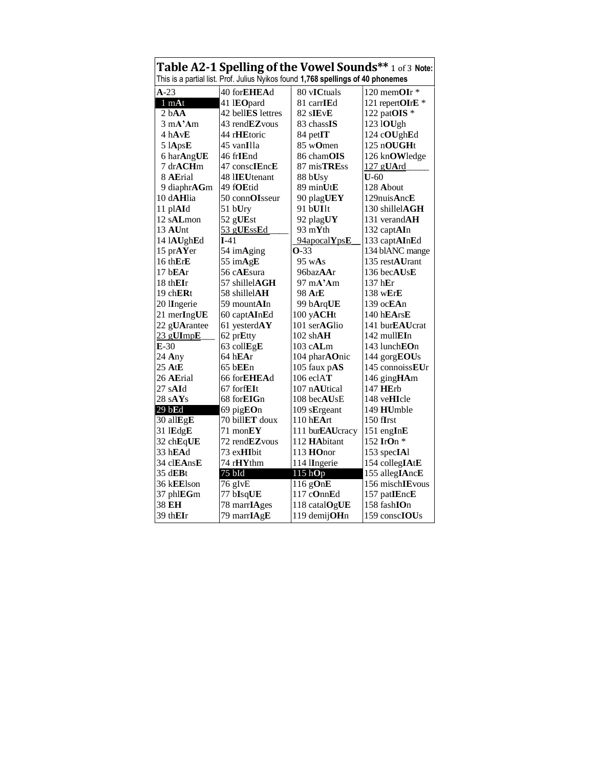| Table A2-1 Spelling of the Vowel Sounds** 1 of 3 Note:                           |                                |                             |                         |
|----------------------------------------------------------------------------------|--------------------------------|-----------------------------|-------------------------|
| This is a partial list. Prof. Julius Nyikos found 1,768 spellings of 40 phonemes |                                |                             |                         |
| $A-23$                                                                           | 40 forEHEAd                    | 80 vICtuals                 | 120 memOIr *            |
| 1 mAt                                                                            | 41 IEOpard                     | 81 carrIEd                  | 121 repertOIrE *        |
| 2 <sub>b</sub> A <sub>A</sub>                                                    | 42 bellES lettres              | 82 sIEvE                    | 122 pat $OIS$ *         |
| $3 \text{ mA}^{\prime}$ Am                                                       | 43 rend <b>EZ</b> vous         | 83 chass <b>IS</b>          | 123 lOUgh               |
| 4 hAvE                                                                           | 44 r <b>HE</b> toric           | 84 petIT                    | 124 cOUghEd             |
| $51$ ApsE                                                                        | 45 vanIlla                     | 85 w <b>O</b> men           | 125 nOUGHt              |
| 6 harAngUE                                                                       | 46 fr <b>IE</b> nd             | 86 cham <b>OIS</b>          | 126 knOWledge           |
| 7 drACHm                                                                         | 47 conscIEncE                  | 87 misTREss                 | 127 gUArd               |
| 8 AErial                                                                         | 48 I <b>IEU</b> tenant         | 88 bUsy                     | $U-60$                  |
| 9 diaphr $AGm$                                                                   | 49 f <b>OE</b> tid             | 89 minUtE                   | 128 About               |
| 10 d <b>AH</b> lia                                                               | 50 conn $OIsseur$              | 90 plagUEY                  | 129 nuis AncE           |
| 11 plAId                                                                         | 51 bUry                        | 91 bUIlt                    | 130 shillel $AGH$       |
| $12$ sALmon                                                                      | 52 gUEst                       | 92 plagUY                   | 131 verand $AH$         |
| 13 AUnt                                                                          | 53 gUEssEd                     | 93 m $Y$ th                 | 132 captAIn             |
| 14 lAUghEd                                                                       | $I-41$                         | 94apocalYpsE                | 133 captAInEd           |
| 15 prAYer                                                                        | 54 imAging                     | $O-33$                      | 134 blANC mange         |
| 16 thErE                                                                         | 55 imAgE                       | $95 \,\mathrm{wAs}$         | 135 rest <b>AU</b> rant |
| 17 bEAr                                                                          | 56 c <b>AE</b> sura            | 96baz <b>AA</b> r           | 136 becAUsE             |
| 18 thEIr                                                                         | 57 shillel $\bf{AGH}$          | $97 \text{ mA}^{\prime}$ Am | $137$ hEr               |
| 19 ch $ERt$                                                                      | 58 shillel <b>AH</b>           | 98 ArE                      | $138$ wErE              |
| 20 IIngerie                                                                      | 59 mountAIn                    | 99 bArqUE                   | 139 oc <b>EA</b> n      |
| 21 merIngUE                                                                      | 60 capt <b>AI</b> n <b>E</b> d | 100 yACHt                   | 140 hEArsE              |
| 22 gUArantee                                                                     | 61 yesterd $AY$                | 101 serAGlio                | 141 bur <b>EAU</b> crat |
| 23 gUImpE                                                                        | 62 prEtty                      | $102$ shAH                  | $142$ mull <b>EI</b> n  |
| $E-30$                                                                           | 63 collEgE                     | $103$ cALm                  | 143 lunch <b>EO</b> n   |
| $24$ Any                                                                         | 64 hEAr                        | 104 pharAOnic               | 144 gorgEOUs            |
| 25 AtE                                                                           | 65 bEEn                        | 105 faux pAS                | 145 connoiss $EUr$      |
| 26 AErial                                                                        | 66 for <b>EHEA</b> d           | $106$ eclAT                 | 146 gingHAm             |
| 27 s <b>AI</b> d                                                                 | 67 forf $E$ It                 | 107 n <b>AU</b> tical       | 147 HErb                |
| 28sAYs                                                                           | 68 for <b>EIG</b> n            | 108 becAUsE                 | 148 ve <b>HI</b> cle    |
| 29 bEd                                                                           | 69 pig <b>EO</b> n             | 109 sErgeant                | 149 HUmble              |
| 30 allEgE                                                                        | 70 bill <b>ET</b> doux         | $110$ hEArt                 | $150$ fIrst             |
| 31 lEdgE                                                                         | 71 mon $EY$                    | 111 bur <b>EAU</b> cracy    | 151 engInE              |
| 32 chEqUE                                                                        | 72 rend <b>EZ</b> vous         | 112 <b>HA</b> bitant        | 152 IrOn $*$            |
| 33 h $\mathbf{E}\mathbf{Ad}$                                                     | 73 ex <b>HI</b> bit            | 113 $HOnor$                 | 153 specIAl             |
| 34 clEAnsE                                                                       | 74 r <b>HY</b> thm             | 114 IIngerie                | 154 collegIAtE          |
| $35 \text{ d}$ <b>EB</b> t                                                       | 75 bId                         | 115 <sub>h</sub> Op         | 155 allegIAncE          |
| 36 kEElson                                                                       | 76 gIvE                        | 116 gOnE                    | 156 mischIEvous         |
| 37 phl $EGm$                                                                     | 77 bIsqUE                      | 117 cOnnEd                  | 157 patIEncE            |
| 38 EH                                                                            | 78 marrIAges                   | 118 catalOgUE               | 158 fashIOn             |
| 39 th $\mathbf{EIr}$                                                             | 79 marrIAgE                    | 119 demijOHn                | 159 conscIOUs           |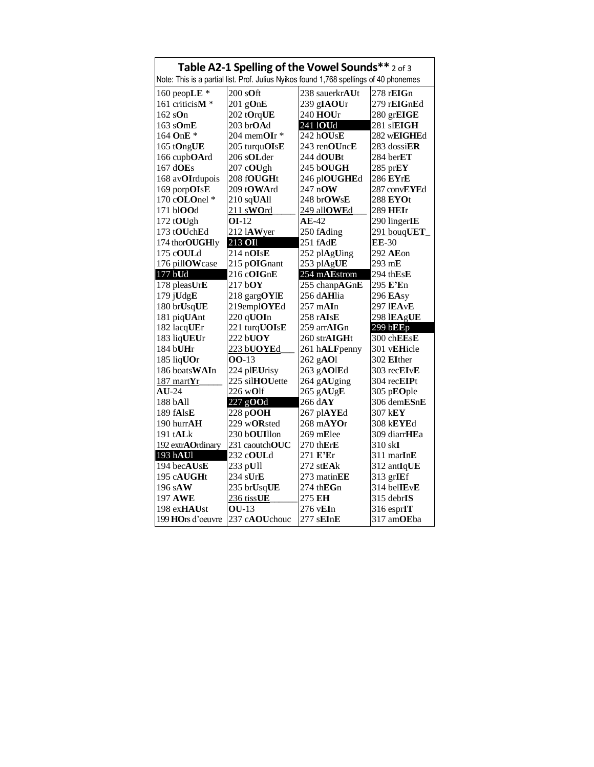| Table A2-1 Spelling of the Vowel Sounds** 2 of 3                                       |                     |                                                           |                                            |
|----------------------------------------------------------------------------------------|---------------------|-----------------------------------------------------------|--------------------------------------------|
| Note: This is a partial list. Prof. Julius Nyikos found 1,768 spellings of 40 phonemes |                     |                                                           |                                            |
| 160 peopLE $*$                                                                         | $200$ sOft          | 238 sauerkrAUt                                            | 278 r <b>EIG</b> n                         |
| 161 criticisM *                                                                        | $201$ gOnE          | 239 gIAOUr                                                | 279 rEIGnEd                                |
| $162$ sOn                                                                              | 202 tOrqUE          | 240 HOUr                                                  | 280 grEIGE                                 |
| $163$ sOmE                                                                             | 203 brOAd           | 241 <b>IOUd</b>                                           | 281 slEIGH                                 |
| 164 OnE $*$                                                                            | 204 mem $OIr*$      | 242 hOUsE                                                 | 282 wEIGHEd                                |
| 165 tOngUE                                                                             | 205 turquOIsE       | 243 renOUncE                                              | 283 dossi $ER$                             |
| 166 cupbOArd                                                                           | 206 sOLder          | 244 dOUBt                                                 | 284 berET                                  |
| $167$ dOEs                                                                             | 207 cOUgh           | 245 bOUGH                                                 | 285 prEY                                   |
| 168 avOIrdupois                                                                        | 208 fOUGHt          | 246 plOUGHEd                                              | 286 EYrE                                   |
| 169 porpOIsE                                                                           | 209 tOWArd          | $247$ nOW                                                 | 287 conv <b>EYE</b> d                      |
| 170 cOLOnel *                                                                          | $210$ sqUAll        | 248 brOWsE                                                | 288 EYOt                                   |
| $171$ bl $\mathbf{OOd}$                                                                | 211 sWOrd           | 249 allOWEd                                               | 289 HEIr                                   |
| 172 tOUgh                                                                              | $OI-12$             | $AE-42$                                                   | 290 linger $IE$                            |
| 173 tOUchEd                                                                            | $212$ lAWyer        | 250 fAding                                                | 291 bouqUET                                |
| 174 thorOUGHly                                                                         | 213 OII             | 251 fAdE                                                  | <b>EE-30</b>                               |
| 175 c <b>OUL</b> d                                                                     | $214 \text{ nOIsE}$ | 252 plAgUing                                              | 292 AEon                                   |
| 176 pillOWcase                                                                         | 215 pOIGnant        | 253 plAgUE                                                | 293 mE                                     |
| 177 bUd                                                                                | 216 cOIGnE          | 254 mAEstrom                                              | 294 th $\mathbf {E}\mathbf {s}\mathbf {E}$ |
| 178 pleas $UrE$                                                                        | $217$ bOY           | 255 chanpAGnE                                             | 295 E'En                                   |
| 179 jUdgE                                                                              | 218 gargOYIE        | 256 dAHlia                                                | 296 EAsy                                   |
| 180 brUsqUE                                                                            | 219emplOYEd         | $257 \text{ mAIn}$                                        | 297 IEAvE                                  |
| 181 piqUAnt                                                                            | 220 qUOIn           | 258 rAIsE                                                 | 298 IEAgUE                                 |
| 182 lacqUEr                                                                            | 221 turqUOIsE       | 259 arrAIGn                                               | 299 bEEp                                   |
| 183 liqUEUr                                                                            | 222 bUOY            | $260$ str $\mathbf{A} \mathbf{I} \mathbf{G} \mathbf{H}$ t | 300 chEEsE                                 |
| 184 bUHr                                                                               | 223 bUOYEd          | 261 hALFpenny                                             | 301 vEHicle                                |
| 185 liqUOr                                                                             | 00-13               | 262 gAOl                                                  | 302 EIther                                 |
| 186 boatsWAIn                                                                          | 224 plEUrisy        | 263 gAOlEd                                                | 303 recEIvE                                |
| $187$ mart $Yr$                                                                        | 225 silHOUette      | 264 gAUging                                               | 304 recEIPt                                |
| $AU-24$                                                                                | 226 wOlf            | 265 gAUgE                                                 | 305 pEOple                                 |
| 188 bAll                                                                               | $227$ gOOd          | $266$ dAY                                                 | 306 demESnE                                |
| 189 fAlsE                                                                              | 228 pOOH            | 267 plAYEd                                                | 307 kEY                                    |
| 190 hurr $AH$                                                                          | 229 wORsted         | 268 mAYOr                                                 | 308 k <b>EYE</b> d                         |
| 191 t <b>AL</b> k                                                                      | 230 bOUIllon        | 269 mElee                                                 | 309 diarrHEa                               |
| 192 extrAOrdinary                                                                      | 231 caoutch $OUC$   | $270$ th $ErE$                                            | $310$ skI                                  |
| 193 hAUl                                                                               | 232 cOULd           | 271 E'Er                                                  | $311 \text{ mark}$                         |
| 194 becAUsE                                                                            | 233 pUll            | 272 stEAk                                                 | 312 antIqUE                                |
| 195 c <b>AUGH</b> t                                                                    | $234 \text{ sUrE}$  | $273$ matin $EE$                                          | 313 grIEf                                  |
| 196 sAW                                                                                | 235 brUsqUE         | $274$ th $EGn$                                            | 314 bel <b>IE</b> vE                       |
| 197 AWE                                                                                | 236 tissUE          | 275 EH                                                    | 315 debrIS                                 |
| 198 exHAUst                                                                            | $QU-13$             | 276 vEIn                                                  | 316 esprIT                                 |
| 199 HOrs d'oeuvre                                                                      | 237 cAOUchouc       | 277 sEInE                                                 | 317 amOEba                                 |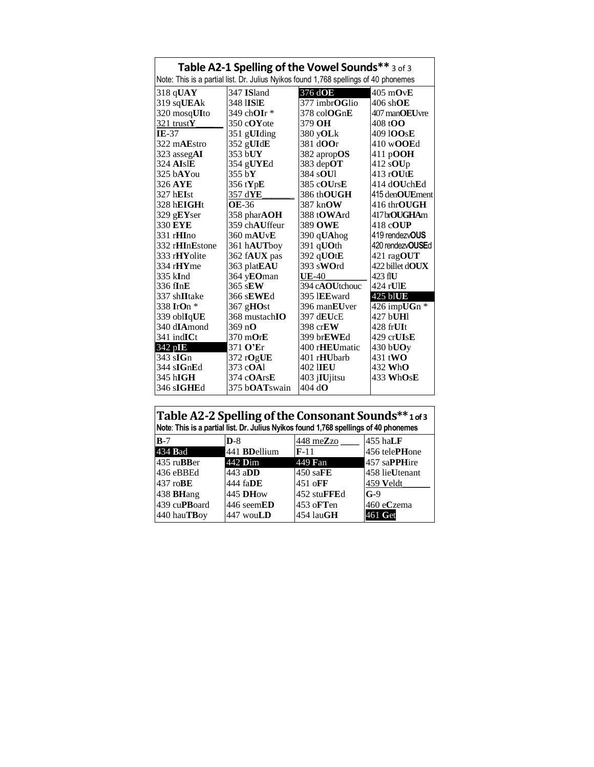| Table A2-1 Spelling of the Vowel Sounds** 3 of 3 |                        |                                                                                      |                                                         |
|--------------------------------------------------|------------------------|--------------------------------------------------------------------------------------|---------------------------------------------------------|
|                                                  |                        | Note: This is a partial list. Dr. Julius Nyikos found 1,768 spellings of 40 phonemes |                                                         |
| $318$ qUAY                                       | 347 ISland             | 376 d <b>OE</b>                                                                      | $405 \text{ mOvE}$                                      |
| 319 sqUEAk                                       | 348 I <b>IS</b> IE     | 377 imbr <b>OG</b> lio                                                               | $406$ shOE                                              |
| $320 \text{ mosq}$ UIto                          | 349 ch <b>OI</b> r *   | $378 \text{ col} \Omega \text{G} \text{n} \mathbf{E}$                                | 407 man <b>OEU</b> Jyre                                 |
| 321 trust $Y$                                    | 350 c $\bf OV$ ote     | 379 OH                                                                               | 408 t <b>OO</b>                                         |
| $IE-37$                                          | 351 gUIding            | 380 y <b>OL</b> k                                                                    | 409 1 <b>OO</b> s <b>E</b>                              |
| 322 mAEstro                                      | 352 gUIdE              | 381 d <b>OO</b> r                                                                    | $410$ wOOEd                                             |
| 323 asseg $AI$                                   | $353$ bUY              | $382$ aprop <b>OS</b>                                                                | 411 p $OOH$                                             |
| <b>324 AIslE</b>                                 | 354 gUYEd              | 383 dep $\overline{\text{OT}}$                                                       | 412 s $\rm{OUp}$                                        |
| $325$ bAYou                                      | 355 b ${\bf Y}$        | 384 s <b>OU</b>                                                                      | $413 \text{ rOLIE}$                                     |
| 326 AYE                                          | 356 tYpE               | 385 cOUrsE                                                                           | 414 dOUchEd                                             |
| 327 hEIst                                        | 357 d <b>YE</b>        | 386 th <b>OUGH</b>                                                                   | 415 den <b>OUE</b> ment                                 |
| 328 hEIGHt                                       | <b>OE-36</b>           | 387 kn $\alpha$ W                                                                    | $416$ thr $\mathbf{O} \mathbf{U} \mathbf{G} \mathbf{H}$ |
| $329$ gEYser                                     | 358 phar $AOH$         | 388 tOWArd                                                                           | 417br <b>OUGHA</b> m                                    |
| 330 EYE                                          | 359 chAUffeur          | 389 OWE                                                                              | 418 c <b>OUP</b>                                        |
| $331$ rHIno                                      | 360 mAUvE              | 390 qUAhog                                                                           | 419 rendezvOUS                                          |
| 332 rHInEstone                                   | 361 h <b>AUT</b> boy   | $391$ qUOth                                                                          | 420 rendezv <b>OUSE</b> d                               |
| 333 rHYolite                                     | 362 fAUX pas           | 392 qUOtE                                                                            | 421 ragOUT                                              |
| $334 \text{ rHYme}$                              | 363 plat <b>EAU</b>    | $393$ sWOrd                                                                          | $422$ billet dOUX                                       |
| 335 kInd                                         | 364 yEOman             | UE-40                                                                                | 423 fIU                                                 |
| 336 fInE                                         | $365$ sEW              | 394 c <b>AOU</b> tchouc                                                              | 424 rUIE                                                |
| 337 shIItake                                     | 366 s <b>EWE</b> d     | 395 IEEward                                                                          | 425 blUE                                                |
| 338 IrOn *                                       | $367$ gHOst            | 396 man <b>EU</b> ver                                                                | 426 impUGn *                                            |
| 339 oblIqUE                                      | 368 mustach $I$ O      | 397 d <b>EU</b> cE                                                                   | 427 bUHI                                                |
| 340 dIAmond                                      | 369 n <b>O</b>         | 398 cr $EW$                                                                          | 428 frUIt                                               |
| $341$ ind $ICt$                                  | 370 m $O$ r $E$        | 399 br <b>EWE</b> d                                                                  | $429$ crUIsE                                            |
| 342 pIE                                          | 371 O'Er               | 400 r <b>HEU</b> matic                                                               | $430$ bUO <sub>y</sub>                                  |
| $343 \text{ s}$ IGn                              | 372 r $O$ gUE          | 401 r <b>HU</b> barb                                                                 | 431 t <b>WO</b>                                         |
| $344 \text{ s}$ GnEd                             | 373 c <b>OA</b> 1      | 402 IIEU                                                                             | 432 WhO                                                 |
| $345$ hIGH                                       | 374 c $OArsE$          | $403$ j <b>IU</b> jitsu                                                              | 433 WhOsE                                               |
| 346 sIGHEd                                       | 375 b <b>OAT</b> swain | $404$ dO                                                                             |                                                         |

| Table A2-2 Spelling of the Consonant Sounds**10f3<br>Note: This is a partial list. Dr. Julius Nyikos found 1,768 spellings of 40 phonemes |                      |                      |                |
|-------------------------------------------------------------------------------------------------------------------------------------------|----------------------|----------------------|----------------|
| $B-7$                                                                                                                                     | $D-8$                | $448 \text{ meZ}$ zo | $455$ hall F   |
| 434 <b>Bad</b>                                                                                                                            | 441 <b>BD</b> ellium | $F-11$               | 456 telePHone  |
| 435 ru <b>BB</b> er                                                                                                                       | 442 <b>D</b> im      | 449 Fan              | 457 saPPHire   |
| 436 eBBEd                                                                                                                                 | 443 a $DD$           | 450 sa $FE$          | 458 lieUtenant |
| $437 \text{ roBE}$                                                                                                                        | 444 fa <b>DE</b>     | 451 oFF              | 459 Veldt      |
| 438 <b>BHang</b>                                                                                                                          | 445 <b>DH</b> ow     | 452 stuFFEd          | $G-9$          |
| 439 cuPBoard                                                                                                                              | 446 seemED           | $453$ oFTen          | 460 eCzema     |
| 440 hauTBov                                                                                                                               | 447 wou <b>LD</b>    | $454$ lau $GH$       | $461$ Get      |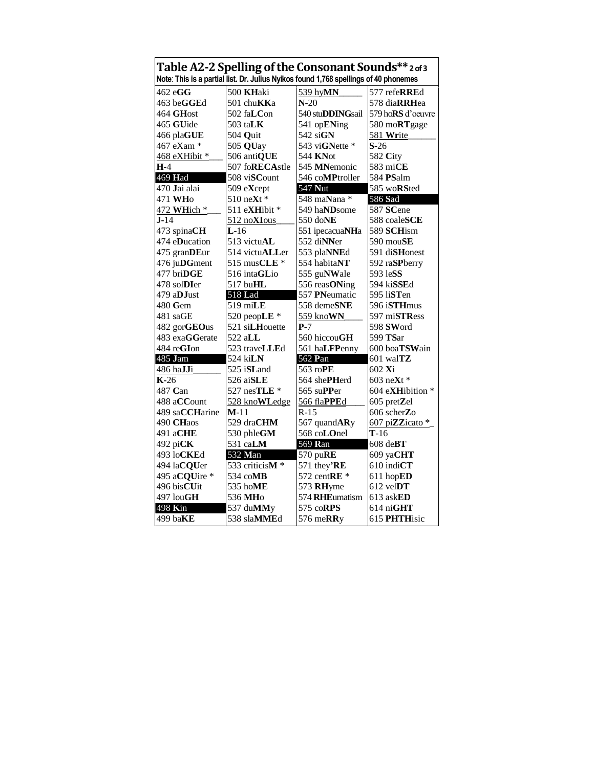| Table A2-2 Spelling of the Consonant Sounds**2of3 |                                        |                                                                                      |                           |
|---------------------------------------------------|----------------------------------------|--------------------------------------------------------------------------------------|---------------------------|
|                                                   |                                        | Note: This is a partial list. Dr. Julius Nyikos found 1,768 spellings of 40 phonemes |                           |
| 462 eGG                                           | 500 KHaki                              | 539 hyMN                                                                             | 577 refeRREd              |
| 463 beGGEd                                        | 501 chuKKa                             | $N-20$                                                                               | 578 diaRRHea              |
| 464 GHost                                         | 502 fa $\mathop{\rm LCon}\nolimits$    | 540 stu <b>DDING</b> sail                                                            | 579 ho <b>RS</b> d'oeuvre |
| 465 GUide                                         | 503 ta $\bf L K$                       | 541 opENing                                                                          | 580 moRTgage              |
| 466 plaGUE                                        | 504 Quit                               | $542$ siGN                                                                           | 581 Write                 |
| 467 eXam *                                        | 505 QUay                               | 543 viGNette *                                                                       | $S-26$                    |
| 468 eXHibit *                                     | 506 antiQUE                            | 544 KNot                                                                             | 582 $City$                |
| <b>H-4</b>                                        | 507 foRECAstle                         | 545 MNemonic                                                                         | 583 miCE                  |
| 469 Had                                           | 508 viSCount                           | 546 coMPtroller                                                                      | 584 <b>PS</b> alm         |
| 470 Jai alai                                      | 509 $eX$ cept                          | 547 Nut                                                                              | 585 woRSted               |
| 471 WHo                                           | $510$ neXt $*$                         | 548 maNana *                                                                         | 586 Sad                   |
| 472 WHich *                                       | 511 e <b>XH</b> ibit $*$               | 549 haNDsome                                                                         | 587 SCene                 |
| $J-14$                                            | 512 noXIous                            | 550 doNE                                                                             | 588 coaleSCE              |
| 473 spinaCH                                       | $L-16$                                 | 551 ipecacuaNHa                                                                      | 589 SCHism                |
| 474 eDucation                                     | 513 victu $AL$                         | 552 diNNer                                                                           | 590 mou $SE$              |
| 475 granDEur                                      | 514 victuALLer                         | 553 plaNNEd                                                                          | 591 diSHonest             |
| 476 juDGment                                      | 515 mus $CLE*$                         | 554 habitaNT                                                                         | 592 raSPberry             |
| 477 briDGE                                        | 516 intaGLio                           | 555 guNWale                                                                          | 593 leSS                  |
| $478$ solDIer                                     | 517 bu $\rm HL$                        | 556 reasONing                                                                        | 594 ki <b>SSE</b> d       |
| 479 a <b>DJ</b> ust                               | 518 Lad                                | 557 PNeumatic                                                                        | 595 liSTen                |
| $480$ Gem                                         | $519$ miLE                             | 558 demeSNE                                                                          | 596 iSTHmus               |
| 481 saGE                                          | 520 peopLE $*$                         | 559 kno <b>WN</b>                                                                    | 597 mi $\mathrm{s}$ TRess |
| 482 gorGEOus                                      | 521 siLHouette                         | P-7                                                                                  | 598 $SWord$               |
| 483 exaGGerate                                    | 522 aLL                                | 560 hiccouGH                                                                         | 599 <b>TS</b> ar          |
| 484 reGIon                                        | 523 traveLLEd                          | 561 ha <b>LFP</b> enny                                                               | 600 boaTSWain             |
| 485 Jam                                           | 524 kiLN                               | 562 Pan                                                                              | 601 wal $TZ$              |
| 486 haJJi                                         | 525 iSLand                             | 563 roPE                                                                             | 602 Xi                    |
| $K-26$                                            | 526 aiSLE                              | 564 shePHerd                                                                         | 603 ne $Xt *$             |
| 487 Can                                           | 527 nes $\mathrm{TLE}$ *               | 565 su $\bf PP$ er                                                                   | 604 eXHibition *          |
| 488 aCCount                                       | 528 knoWLedge                          | 566 flaPPEd                                                                          | $605$ pret $Zel$          |
| 489 saCCHarine                                    | M-11                                   | R-15                                                                                 | 606 scherZo               |
| 490 CHaos                                         | 529 draCHM                             | 567 quandARy                                                                         | 607 piZZicato *           |
| 491 aCHE                                          | 530 phleGM                             | 568 coLOnel                                                                          | $T-16$                    |
| 492 pi $CK$                                       | 531 caLM                               | 569 Ran                                                                              | $608$ de $BT$             |
| 493 loCKEd                                        | 532 Man                                | 570 puRE                                                                             | 609 yaCHT                 |
| 494 laCQUer                                       | 533 criticis $\overline{\mathbf{M}^*}$ | 571 they'RE                                                                          | $610$ indi $CT$           |
| 495 aCQUire *                                     | 534 coMB                               | 572 cent $RE*$                                                                       | $611$ hop $ED$            |
| 496 bisCUit                                       | 535 hoME                               | 573 RHyme                                                                            | 612 velDT                 |
| 497 louGH                                         | 536 MH <sub>o</sub>                    | 574 RHEumatism                                                                       | 613 askED                 |
| 498 Kin                                           | 537 duMMy                              | 575 coRPS                                                                            | $614 \text{ niGHT}$       |
| $499$ ba $KE$                                     | 538 slaMMEd                            | 576 me $\mathbf{R}$ Ry                                                               | 615 PHTHisic              |